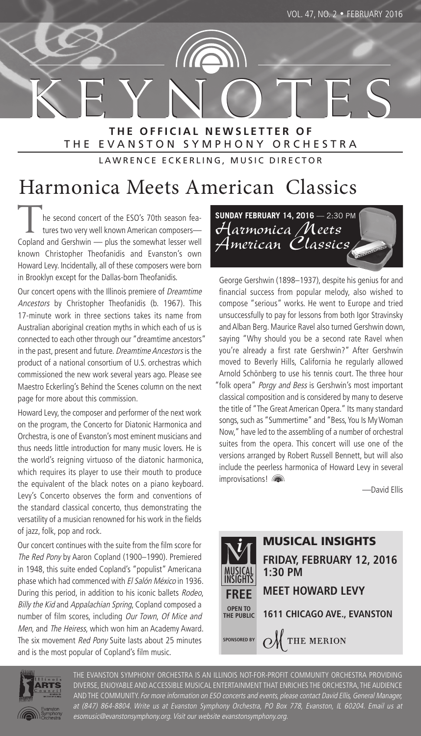K E Y N O T E S **T H E O F F I C I A L N E W S L E T T E R O F** THE EVANSTON SYMPHONY ORCHESTRA

LAWRENCE ECKERLING, MUSIC DIRECTOR

# Harmonica Meets American Classics

The second concert of the ESO's 70th season fea-<br>tures two very well known American composers— Copland and Gershwin — plus the somewhat lesser well known Christopher Theofanidis and Evanston's own Howard Levy. Incidentally, all of these composers were born in Brooklyn except for the Dallas-born Theofanidis.

Our concert opens with the Illinois premiere of Dreamtime Ancestors by Christopher Theofanidis (b. 1967). This 17-minute work in three sections takes its name from Australian aboriginal creation myths in which each of us is connected to each other through our "dreamtime ancestors" in the past, present and future. Dreamtime Ancestors is the product of a national consortium of U.S. orchestras which commissioned the new work several years ago. Please see Maestro Eckerling's Behind the Scenes column on the next page for more about this commission.

Howard Levy, the composer and performer of the next work on the program, the Concerto for Diatonic Harmonica and Orchestra, is one of Evanston's most eminent musicians and thus needs little introduction for many music lovers. He is the world's reigning virtuoso of the diatonic harmonica, which requires its player to use their mouth to produce the equivalent of the black notes on a piano keyboard. Levy's Concerto observes the form and conventions of the standard classical concerto, thus demonstrating the versatility of a musician renowned for his work in the fields of jazz, folk, pop and rock.

Our concert continues with the suite from the film score for The Red Pony by Aaron Copland (1900–1990). Premiered in 1948, this suite ended Copland's "populist" Americana phase which had commenced with El Salón México in 1936. During this period, in addition to his iconic ballets Rodeo, Billy the Kid and Appalachian Spring, Copland composed a number of film scores, including Our Town, Of Mice and Men, and The Heiress, which won him an Academy Award. The six movement Red Pony Suite lasts about 25 minutes and is the most popular of Copland's film music.



George Gershwin (1898–1937), despite his genius for and financial success from popular melody, also wished to compose "serious" works. He went to Europe and tried unsuccessfully to pay for lessons from both Igor Stravinsky and Alban Berg. Maurice Ravel also turned Gershwin down, saying "Why should you be a second rate Ravel when you're already a first rate Gershwin?" After Gershwin moved to Beverly Hills, California he regularly allowed Arnold Schönberg to use his tennis court. The three hour "folk opera" Porgy and Bess is Gershwin's most important classical composition and is considered by many to deserve the title of "The Great American Opera." Its many standard songs, such as "Summertime" and "Bess, You Is My Woman Now," have led to the assembling of a number of orchestral suites from the opera. This concert will use one of the versions arranged by Robert Russell Bennett, but will also include the peerless harmonica of Howard Levy in several improvisations!

—David Ellis





THE EVANSTON SYMPHONY ORCHESTRA IS AN ILLINOIS NOT-FOR-PROFIT COMMUNITY ORCHESTRA PROVIDING DIVERSE, ENJOYABLE AND ACCESSIBLE MUSICAL ENTERTAINMENT THAT ENRICHES THE ORCHESTRA, THE AUDIENCE AND THE COMMUNITY. For more information on ESO concerts and events, please contact David Ellis, General Manager, at (847) 864-8804. Write us at Evanston Symphony Orchestra, PO Box 778, Evanston, IL 60204. Email us at esomusic@evanstonsymphony.org. Visit our website evanstonsymphony.org.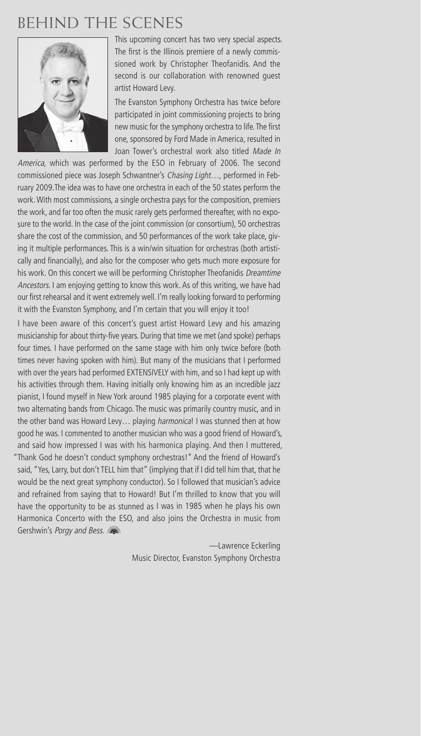## BEHIND THE SCENES



This upcoming concert has two very special aspects. The first is the Illinois premiere of a newly commissioned work by Christopher Theofanidis. And the second is our collaboration with renowned guest artist Howard Levy.

The Evanston Symphony Orchestra has twice before participated in joint commissioning projects to bring new music for the symphony orchestra to life. The first one, sponsored by Ford Made in America, resulted in Joan Tower's orchestral work also titled Made In

America, which was performed by the ESO in February of 2006. The second commissioned piece was Joseph Schwantner's Chasing Light..., performed in February 2009.The idea was to have one orchestra in each of the 50 states perform the work. With most commissions, a single orchestra pays for the composition, premiers the work, and far too often the music rarely gets performed thereafter, with no exposure to the world. In the case of the joint commission (or consortium), 50 orchestras share the cost of the commission, and 50 performances of the work take place, giving it multiple performances. This is a win/win situation for orchestras (both artistically and financially), and also for the composer who gets much more exposure for his work. On this concert we will be performing Christopher Theofanidis Dreamtime Ancestors. I am enjoying getting to know this work. As of this writing, we have had our first rehearsal and it went extremely well. I'm really looking forward to performing it with the Evanston Symphony, and I'm certain that you will enjoy it too!

I have been aware of this concert's guest artist Howard Levy and his amazing musicianship for about thirty-five years. During that time we met (and spoke) perhaps four times. I have performed on the same stage with him only twice before (both times never having spoken with him). But many of the musicians that I performed with over the years had performed EXTENSIVELY with him, and so I had kept up with his activities through them. Having initially only knowing him as an incredible jazz pianist, I found myself in New York around 1985 playing for a corporate event with two alternating bands from Chicago. The music was primarily country music, and in the other band was Howard Levy... playing *harmonica*! I was stunned then at how good he was. I commented to another musician who was a good friend of Howard's, and said how impressed I was with his harmonica playing. And then I muttered, "Thank God he doesn't conduct symphony orchestras!" And the friend of Howard's said, "Yes, Larry, but don't TELL him that" (implying that if I did tell him that, that he would be the next great symphony conductor). So I followed that musician's advice and refrained from saying that to Howard! But I'm thrilled to know that you will have the opportunity to be as stunned as I was in 1985 when he plays his own Harmonica Concerto with the ESO, and also joins the Orchestra in music from Gershwin's Porgy and Bess. (

> —Lawrence Eckerling Music Director, Evanston Symphony Orchestra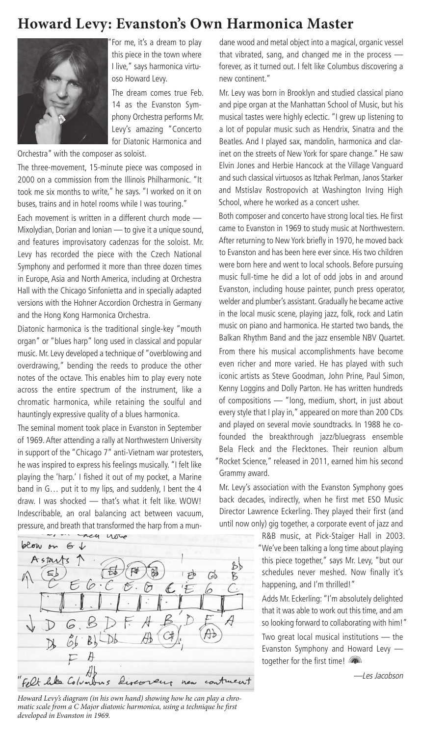### **Howard Levy: Evanston's Own Harmonica Master**



For me, it's a dream to play this piece in the town where I live," says harmonica virtuoso Howard Levy.

The dream comes true Feb. 14 as the Evanston Symphony Orchestra performs Mr. Levy's amazing "Concerto for Diatonic Harmonica and

Orchestra" with the composer as soloist.

The three-movement, 15-minute piece was composed in 2000 on a commission from the Illinois Philharmonic. "It took me six months to write," he says. "I worked on it on buses, trains and in hotel rooms while I was touring."

Each movement is written in a different church mode — Mixolydian, Dorian and Ionian — to give it a unique sound, and features improvisatory cadenzas for the soloist. Mr. Levy has recorded the piece with the Czech National Symphony and performed it more than three dozen times in Europe, Asia and North America, including at Orchestra Hall with the Chicago Sinfonietta and in specially adapted versions with the Hohner Accordion Orchestra in Germany and the Hong Kong Harmonica Orchestra.

Diatonic harmonica is the traditional single-key "mouth organ" or "blues harp" long used in classical and popular music. Mr. Levy developed a technique of "overblowing and overdrawing," bending the reeds to produce the other notes of the octave. This enables him to play every note across the entire spectrum of the instrument, like a chromatic harmonica, while retaining the soulful and hauntingly expressive quality of a blues harmonica.

The seminal moment took place in Evanston in September of 1969. After attending a rally at Northwestern University in support of the "Chicago 7" anti-Vietnam war protesters, he was inspired to express his feelings musically. "I felt like playing the 'harp.' I fished it out of my pocket, a Marine band in G… put it to my lips, and suddenly, I bent the 4 draw. I was shocked — that's what it felt like. WOW! Indescribable, an oral balancing act between vacuum, pressure, and breath that transformed the harp from a mun-



Howard Levy's diagram (in his own hand) showing how he can play a chromatic scale from a C Major diatonic harmonica, using a technique he first developed in Evanston in 1969.

dane wood and metal object into a magical, organic vessel that vibrated, sang, and changed me in the process forever, as it turned out. I felt like Columbus discovering a new continent."

Mr. Levy was born in Brooklyn and studied classical piano and pipe organ at the Manhattan School of Music, but his musical tastes were highly eclectic. "I grew up listening to a lot of popular music such as Hendrix, Sinatra and the Beatles. And I played sax, mandolin, harmonica and clarinet on the streets of New York for spare change." He saw Elvin Jones and Herbie Hancock at the Village Vanguard and such classical virtuosos as Itzhak Perlman, Janos Starker and Mstislav Rostropovich at Washington Irving High School, where he worked as a concert usher.

Both composer and concerto have strong local ties. He first came to Evanston in 1969 to study music at Northwestern. After returning to New York briefly in 1970, he moved back to Evanston and has been here ever since. His two children were born here and went to local schools. Before pursuing music full-time he did a lot of odd jobs in and around Evanston, including house painter, punch press operator, welder and plumber's assistant. Gradually he became active in the local music scene, playing jazz, folk, rock and Latin music on piano and harmonica. He started two bands, the Balkan Rhythm Band and the jazz ensemble NBV Quartet. From there his musical accomplishments have become even richer and more varied. He has played with such iconic artists as Steve Goodman, John Prine, Paul Simon, Kenny Loggins and Dolly Parton. He has written hundreds of compositions — "long, medium, short, in just about every style that I play in," appeared on more than 200 CDs and played on several movie soundtracks. In 1988 he cofounded the breakthrough jazz/bluegrass ensemble Bela Fleck and the Flecktones. Their reunion album "Rocket Science," released in 2011, earned him his second Grammy award.

Mr. Levy's association with the Evanston Symphony goes back decades, indirectly, when he first met ESO Music Director Lawrence Eckerling. They played their first (and until now only) gig together, a corporate event of jazz and

> R&B music, at Pick-Staiger Hall in 2003. "We've been talking a long time about playing this piece together," says Mr. Levy, "but our schedules never meshed. Now finally it's happening, and I'm thrilled!"

Adds Mr. Eckerling: "I'm absolutely delighted that it was able to work out this time, and am so looking forward to collaborating with him!" Two great local musical institutions — the Evanston Symphony and Howard Levy together for the first time!

—Les Jacobson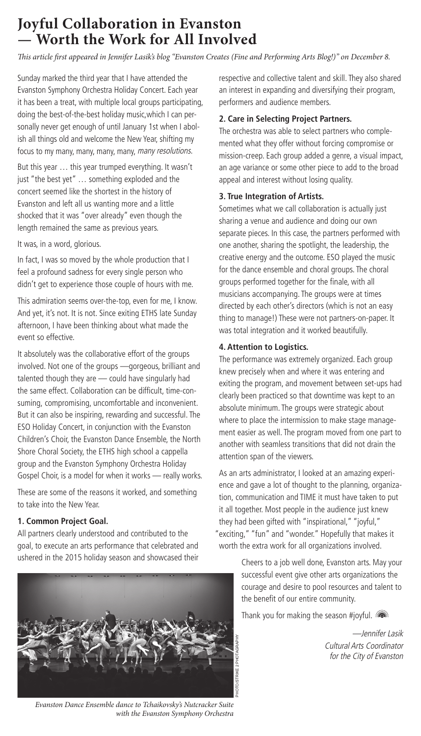## **Joyful Collaboration in Evanston — Worth the Work for All Involved**

is article first appeared in Jennifer Lasik's blog "Evanston Creates (Fine and Performing Arts Blog!)" on December 8.

Sunday marked the third year that I have attended the Evanston Symphony Orchestra Holiday Concert. Each year it has been a treat, with multiple local groups participating, doing the best-of-the-best holiday music,which I can personally never get enough of until January 1st when I abolish all things old and welcome the New Year, shifting my focus to my many, many, many, many, many resolutions.

But this year … this year trumped everything. It wasn't just "the best yet" … something exploded and the concert seemed like the shortest in the history of Evanston and left all us wanting more and a little shocked that it was "over already" even though the length remained the same as previous years.

It was, in a word, glorious.

In fact, I was so moved by the whole production that I feel a profound sadness for every single person who didn't get to experience those couple of hours with me.

This admiration seems over-the-top, even for me, I know. And yet, it's not. It is not. Since exiting ETHS late Sunday afternoon, I have been thinking about what made the event so effective.

It absolutely was the collaborative effort of the groups involved. Not one of the groups —gorgeous, brilliant and talented though they are — could have singularly had the same effect. Collaboration can be difficult, time-consuming, compromising, uncomfortable and inconvenient. But it can also be inspiring, rewarding and successful. The ESO Holiday Concert, in conjunction with the Evanston Children's Choir, the Evanston Dance Ensemble, the North Shore Choral Society, the ETHS high school a cappella group and the Evanston Symphony Orchestra Holiday Gospel Choir, is a model for when it works — really works.

These are some of the reasons it worked, and something to take into the New Year.

#### **1. Common Project Goal.**

All partners clearly understood and contributed to the goal, to execute an arts performance that celebrated and ushered in the 2015 holiday season and showcased their



Evanston Dance Ensemble dance to Tchaikovsky's Nutcracker Suite with the Evanston Symphony Orchestra

respective and collective talent and skill. They also shared an interest in expanding and diversifying their program, performers and audience members.

#### **2. Care in Selecting Project Partners.**

The orchestra was able to select partners who complemented what they offer without forcing compromise or mission-creep. Each group added a genre, a visual impact, an age variance or some other piece to add to the broad appeal and interest without losing quality.

#### **3. True Integration of Artists.**

Sometimes what we call collaboration is actually just sharing a venue and audience and doing our own separate pieces. In this case, the partners performed with one another, sharing the spotlight, the leadership, the creative energy and the outcome. ESO played the music for the dance ensemble and choral groups. The choral groups performed together for the finale, with all musicians accompanying. The groups were at times directed by each other's directors (which is not an easy thing to manage!) These were not partners-on-paper. It was total integration and it worked beautifully.

#### **4. Attention to Logistics.**

The performance was extremely organized. Each group knew precisely when and where it was entering and exiting the program, and movement between set-ups had clearly been practiced so that downtime was kept to an absolute minimum. The groups were strategic about where to place the intermission to make stage management easier as well. The program moved from one part to another with seamless transitions that did not drain the attention span of the viewers.

As an arts administrator, I looked at an amazing experience and gave a lot of thought to the planning, organization, communication and TIME it must have taken to put it all together. Most people in the audience just knew they had been gifted with "inspirational," "joyful," "exciting," "fun" and "wonder." Hopefully that makes it worth the extra work for all organizations involved.

> Cheers to a job well done, Evanston arts. May your successful event give other arts organizations the courage and desire to pool resources and talent to the benefit of our entire community.

Thank you for making the season #joyful.

—Jennifer Lasik Cultural Arts Coordinator for the City of Evanston